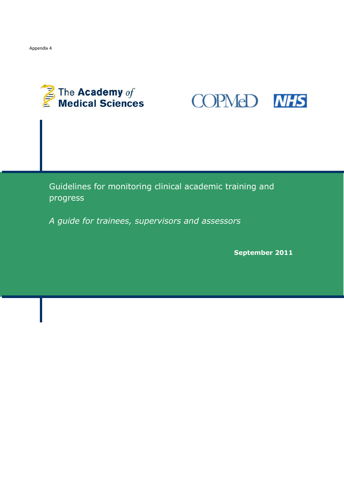



Guidelines for monitoring clinical academic training and progress

*A guide for trainees, supervisors and assessors*

**September 2011**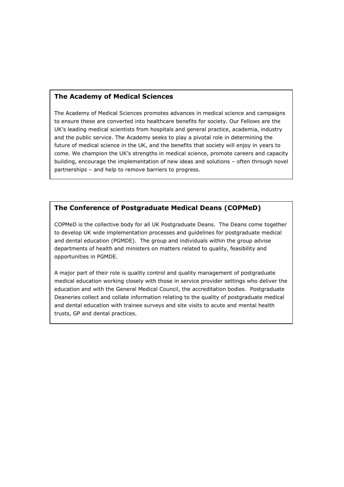## **The Academy of Medical Sciences**

The Academy of Medical Sciences promotes advances in medical science and campaigns to ensure these are converted into healthcare benefits for society. Our Fellows are the UK's leading medical scientists from hospitals and general practice, academia, industry and the public service. The Academy seeks to play a pivotal role in determining the future of medical science in the UK, and the benefits that society will enjoy in years to come. We champion the UK's strengths in medical science, promote careers and capacity building, encourage the implementation of new ideas and solutions – often through novel partnerships – and help to remove barriers to progress.

## **The Conference of Postgraduate Medical Deans (COPMeD)**

COPMeD is the collective body for all UK Postgraduate Deans. The Deans come together to develop UK wide implementation processes and guidelines for postgraduate medical and dental education (PGMDE). The group and individuals within the group advise departments of health and ministers on matters related to quality, feasibility and opportunities in PGMDE.

A major part of their role is quality control and quality management of postgraduate medical education working closely with those in service provider settings who deliver the education and with the General Medical Council, the accreditation bodies. Postgraduate Deaneries collect and collate information relating to the quality of postgraduate medical and dental education with trainee surveys and site visits to acute and mental health trusts, GP and dental practices.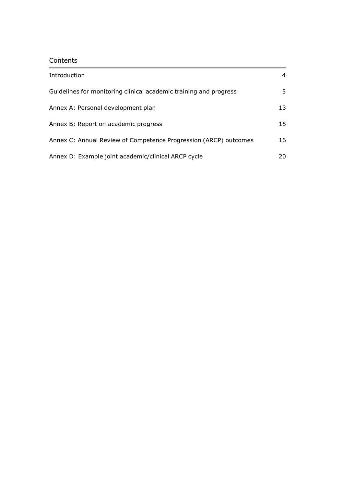# Contents

| Introduction                                                      | 4  |
|-------------------------------------------------------------------|----|
| Guidelines for monitoring clinical academic training and progress | 5  |
| Annex A: Personal development plan                                | 13 |
| Annex B: Report on academic progress                              | 15 |
| Annex C: Annual Review of Competence Progression (ARCP) outcomes  | 16 |
| Annex D: Example joint academic/clinical ARCP cycle               | 20 |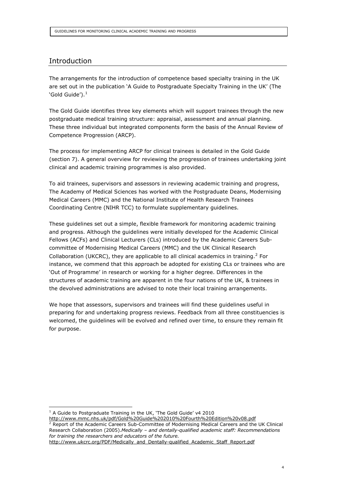## Introduction

The arrangements for the introduction of competence based specialty training in the UK are set out in the publication 'A Guide to Postgraduate Specialty Training in the UK' (The 'Gold Guide'). $^1$ 

The Gold Guide identifies three key elements which will support trainees through the new postgraduate medical training structure: appraisal, assessment and annual planning. These three individual but integrated components form the basis of the Annual Review of Competence Progression (ARCP).

The process for implementing ARCP for clinical trainees is detailed in the Gold Guide (section 7). A general overview for reviewing the progression of trainees undertaking joint clinical and academic training programmes is also provided.

To aid trainees, supervisors and assessors in reviewing academic training and progress, The Academy of Medical Sciences has worked with the Postgraduate Deans, Modernising Medical Careers (MMC) and the National Institute of Health Research Trainees Coordinating Centre (NIHR TCC) to formulate supplementary guidelines.

These guidelines set out a simple, flexible framework for monitoring academic training and progress. Although the guidelines were initially developed for the Academic Clinical Fellows (ACFs) and Clinical Lecturers (CLs) introduced by the Academic Careers Subcommittee of Modernising Medical Careers (MMC) and the UK Clinical Research Collaboration (UKCRC), they are applicable to all clinical academics in training.<sup>2</sup> For instance, we commend that this approach be adopted for existing CLs or trainees who are 'Out of Programme' in research or working for a higher degree. Differences in the structures of academic training are apparent in the four nations of the UK, & trainees in the devolved administrations are advised to note their local training arrangements.

We hope that assessors, supervisors and trainees will find these guidelines useful in preparing for and undertaking progress reviews. Feedback from all three constituencies is welcomed, the guidelines will be evolved and refined over time, to ensure they remain fit for purpose.

<http://www.mmc.nhs.uk/pdf/Gold%20Guide%202010%20Fourth%20Edition%20v08.pdf>

<sup>2</sup> Report of the Academic Careers Sub-Committee of Modernising Medical Careers and the UK Clinical Research Collaboration (2005).*Medically – and dentally-qualified academic staff: Recommendations for training the researchers and educators of the future.*

 $1$  A Guide to Postgraduate Training in the UK, 'The Gold Guide' v4 2010

[http://www.ukcrc.org/PDF/Medically\\_and\\_Dentally-qualified\\_Academic\\_Staff\\_Report.pdf](http://www.ukcrc.org/PDF/Medically_and_Dentally-qualified_Academic_Staff_Report.pdf)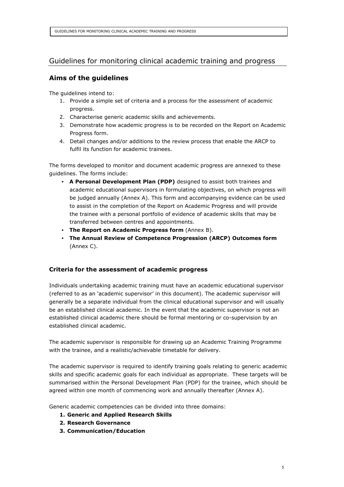# Guidelines for monitoring clinical academic training and progress

## **Aims of the guidelines**

The guidelines intend to:

- 1. Provide a simple set of criteria and a process for the assessment of academic progress.
- 2. Characterise generic academic skills and achievements.
- 3. Demonstrate how academic progress is to be recorded on the Report on Academic Progress form.
- 4. Detail changes and/or additions to the review process that enable the ARCP to fulfil its function for academic trainees.

The forms developed to monitor and document academic progress are annexed to these guidelines. The forms include:

- **A Personal Development Plan (PDP)** designed to assist both trainees and academic educational supervisors in formulating objectives, on which progress will be judged annually (Annex A). This form and accompanying evidence can be used to assist in the completion of the Report on Academic Progress and will provide the trainee with a personal portfolio of evidence of academic skills that may be transferred between centres and appointments.
- **The Report on Academic Progress form** (Annex B).
- **The Annual Review of Competence Progression (ARCP) Outcomes form** (Annex C).

## **Criteria for the assessment of academic progress**

Individuals undertaking academic training must have an academic educational supervisor (referred to as an 'academic supervisor' in this document). The academic supervisor will generally be a separate individual from the clinical educational supervisor and will usually be an established clinical academic. In the event that the academic supervisor is not an established clinical academic there should be formal mentoring or co-supervision by an established clinical academic.

The academic supervisor is responsible for drawing up an Academic Training Programme with the trainee, and a realistic/achievable timetable for delivery.

The academic supervisor is required to identify training goals relating to generic academic skills and specific academic goals for each individual as appropriate. These targets will be summarised within the Personal Development Plan (PDP) for the trainee, which should be agreed within one month of commencing work and annually thereafter (Annex A).

Generic academic competencies can be divided into three domains:

- **1. Generic and Applied Research Skills**
- **2. Research Governance**
- **3. Communication/Education**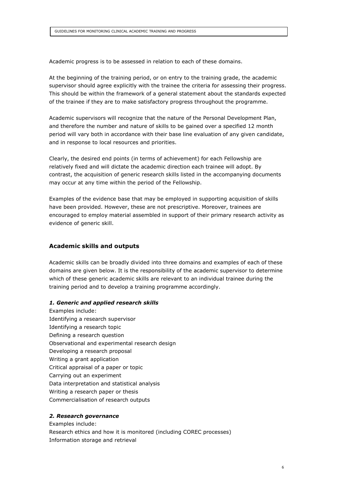Academic progress is to be assessed in relation to each of these domains.

At the beginning of the training period, or on entry to the training grade, the academic supervisor should agree explicitly with the trainee the criteria for assessing their progress. This should be within the framework of a general statement about the standards expected of the trainee if they are to make satisfactory progress throughout the programme.

Academic supervisors will recognize that the nature of the Personal Development Plan, and therefore the number and nature of skills to be gained over a specified 12 month period will vary both in accordance with their base line evaluation of any given candidate, and in response to local resources and priorities.

Clearly, the desired end points (in terms of achievement) for each Fellowship are relatively fixed and will dictate the academic direction each trainee will adopt. By contrast, the acquisition of generic research skills listed in the accompanying documents may occur at any time within the period of the Fellowship.

Examples of the evidence base that may be employed in supporting acquisition of skills have been provided. However, these are not prescriptive. Moreover, trainees are encouraged to employ material assembled in support of their primary research activity as evidence of generic skill.

#### **Academic skills and outputs**

Academic skills can be broadly divided into three domains and examples of each of these domains are given below. It is the responsibility of the academic supervisor to determine which of these generic academic skills are relevant to an individual trainee during the training period and to develop a training programme accordingly.

#### *1. Generic and applied research skills*

Examples include: Identifying a research supervisor Identifying a research topic Defining a research question Observational and experimental research design Developing a research proposal Writing a grant application Critical appraisal of a paper or topic Carrying out an experiment Data interpretation and statistical analysis Writing a research paper or thesis Commercialisation of research outputs

#### *2. Research governance*

Examples include: Research ethics and how it is monitored (including COREC processes) Information storage and retrieval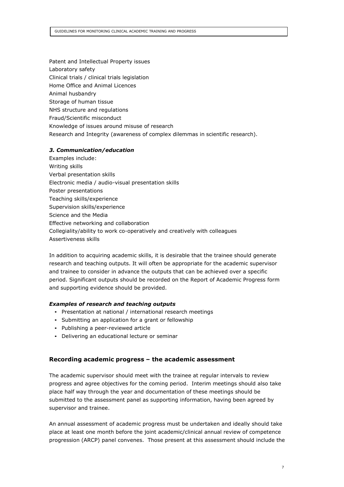Patent and Intellectual Property issues Laboratory safety Clinical trials / clinical trials legislation Home Office and Animal Licences Animal husbandry Storage of human tissue NHS structure and regulations Fraud/Scientific misconduct Knowledge of issues around misuse of research Research and Integrity (awareness of complex dilemmas in scientific research).

### *3. Communication/education*

Examples include: Writing skills Verbal presentation skills Electronic media / audio-visual presentation skills Poster presentations Teaching skills/experience Supervision skills/experience Science and the Media Effective networking and collaboration Collegiality/ability to work co-operatively and creatively with colleagues Assertiveness skills

In addition to acquiring academic skills, it is desirable that the trainee should generate research and teaching outputs. It will often be appropriate for the academic supervisor and trainee to consider in advance the outputs that can be achieved over a specific period. Significant outputs should be recorded on the Report of Academic Progress form and supporting evidence should be provided.

### *Examples of research and teaching outputs*

- Presentation at national / international research meetings
- Submitting an application for a grant or fellowship
- Publishing a peer-reviewed article
- Delivering an educational lecture or seminar

### **Recording academic progress – the academic assessment**

The academic supervisor should meet with the trainee at regular intervals to review progress and agree objectives for the coming period. Interim meetings should also take place half way through the year and documentation of these meetings should be submitted to the assessment panel as supporting information, having been agreed by supervisor and trainee.

An annual assessment of academic progress must be undertaken and ideally should take place at least one month before the joint academic/clinical annual review of competence progression (ARCP) panel convenes. Those present at this assessment should include the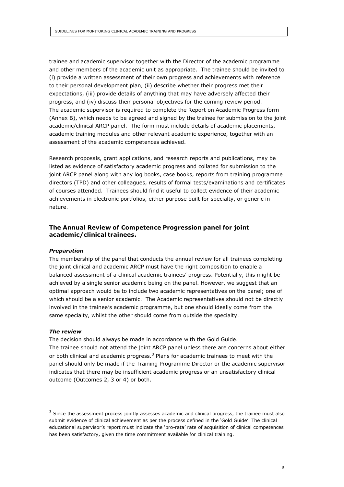trainee and academic supervisor together with the Director of the academic programme and other members of the academic unit as appropriate. The trainee should be invited to (i) provide a written assessment of their own progress and achievements with reference to their personal development plan, (ii) describe whether their progress met their expectations, (iii) provide details of anything that may have adversely affected their progress, and (iv) discuss their personal objectives for the coming review period. The academic supervisor is required to complete the Report on Academic Progress form (Annex B), which needs to be agreed and signed by the trainee for submission to the joint academic/clinical ARCP panel. The form must include details of academic placements, academic training modules and other relevant academic experience, together with an assessment of the academic competences achieved.

Research proposals, grant applications, and research reports and publications, may be listed as evidence of satisfactory academic progress and collated for submission to the joint ARCP panel along with any log books, case books, reports from training programme directors (TPD) and other colleagues, results of formal tests/examinations and certificates of courses attended. Trainees should find it useful to collect evidence of their academic achievements in electronic portfolios, either purpose built for specialty, or generic in nature.

## **The Annual Review of Competence Progression panel for joint academic/clinical trainees.**

#### *Preparation*

The membership of the panel that conducts the annual review for all trainees completing the joint clinical and academic ARCP must have the right composition to enable a balanced assessment of a clinical academic trainees' progress. Potentially, this might be achieved by a single senior academic being on the panel. However, we suggest that an optimal approach would be to include two academic representatives on the panel; one of which should be a senior academic. The Academic representatives should not be directly involved in the trainee's academic programme, but one should ideally come from the same specialty, whilst the other should come from outside the specialty.

#### *The review*

The decision should always be made in accordance with the Gold Guide. The trainee should not attend the joint ARCP panel unless there are concerns about either or both clinical and academic progress.<sup>3</sup> Plans for academic trainees to meet with the panel should only be made if the Training Programme Director or the academic supervisor indicates that there may be insufficient academic progress or an unsatisfactory clinical outcome (Outcomes 2, 3 or 4) or both.

<sup>&</sup>lt;sup>3</sup> Since the assessment process jointly assesses academic and clinical progress, the trainee must also submit evidence of clinical achievement as per the process defined in the 'Gold Guide'. The clinical educational supervisor's report must indicate the 'pro-rata' rate of acquisition of clinical competences has been satisfactory, given the time commitment available for clinical training.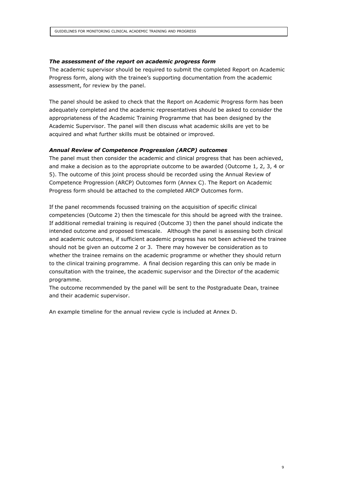#### *The assessment of the report on academic progress form*

The academic supervisor should be required to submit the completed Report on Academic Progress form, along with the trainee's supporting documentation from the academic assessment, for review by the panel.

The panel should be asked to check that the Report on Academic Progress form has been adequately completed and the academic representatives should be asked to consider the appropriateness of the Academic Training Programme that has been designed by the Academic Supervisor. The panel will then discuss what academic skills are yet to be acquired and what further skills must be obtained or improved.

### *Annual Review of Competence Progression (ARCP) outcomes*

The panel must then consider the academic and clinical progress that has been achieved, and make a decision as to the appropriate outcome to be awarded (Outcome 1, 2, 3, 4 or 5). The outcome of this joint process should be recorded using the Annual Review of Competence Progression (ARCP) Outcomes form (Annex C). The Report on Academic Progress form should be attached to the completed ARCP Outcomes form.

If the panel recommends focussed training on the acquisition of specific clinical competencies (Outcome 2) then the timescale for this should be agreed with the trainee. If additional remedial training is required (Outcome 3) then the panel should indicate the intended outcome and proposed timescale. Although the panel is assessing both clinical and academic outcomes, if sufficient academic progress has not been achieved the trainee should not be given an outcome 2 or 3. There may however be consideration as to whether the trainee remains on the academic programme or whether they should return to the clinical training programme. A final decision regarding this can only be made in consultation with the trainee, the academic supervisor and the Director of the academic programme.

The outcome recommended by the panel will be sent to the Postgraduate Dean, trainee and their academic supervisor.

An example timeline for the annual review cycle is included at Annex D.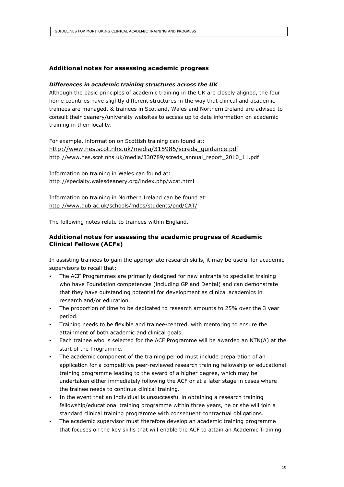## **Additional notes for assessing academic progress**

#### *Differences in academic training structures across the UK*

Although the basic principles of academic training in the UK are closely aligned, the four home countries have slightly different structures in the way that clinical and academic trainees are managed, & trainees in Scotland, Wales and Northern Ireland are advised to consult their deanery/university websites to access up to date information on academic training in their locality.

For example, information on Scottish training can found at: [http://www.nes.scot.nhs.uk/media/315985/screds\\_guidance.pdf](http://www.nes.scot.nhs.uk/media/315985/screds_guidance.pdf) [http://www.nes.scot.nhs.uk/media/330789/screds\\_annual\\_report\\_2010\\_11.pdf](http://www.nes.scot.nhs.uk/media/330789/screds_annual_report_2010_11.pdf)

Information on training in Wales can found at: <http://specialty.walesdeanery.org/index.php/wcat.html>

Information on training in Northern Ireland can be found at: <http://www.qub.ac.uk/schools/mdbs/students/pgd/CAT/>

The following notes relate to trainees within England.

### **Additional notes for assessing the academic progress of Academic Clinical Fellows (ACFs)**

In assisting trainees to gain the appropriate research skills, it may be useful for academic supervisors to recall that:

- The ACF Programmes are primarily designed for new entrants to specialist training who have Foundation competences (including GP and Dental) and can demonstrate that they have outstanding potential for development as clinical academics in research and/or education.
- The proportion of time to be dedicated to research amounts to 25% over the 3 year period.
- Training needs to be flexible and trainee-centred, with mentoring to ensure the attainment of both academic and clinical goals.
- Each trainee who is selected for the ACF Programme will be awarded an NTN(A) at the start of the Programme.
- The academic component of the training period must include preparation of an application for a competitive peer-reviewed research training fellowship or educational training programme leading to the award of a higher degree, which may be undertaken either immediately following the ACF or at a later stage in cases where the trainee needs to continue clinical training.
- In the event that an individual is unsuccessful in obtaining a research training fellowship/educational training programme within three years, he or she will join a standard clinical training programme with consequent contractual obligations.
- The academic supervisor must therefore develop an academic training programme that focuses on the key skills that will enable the ACF to attain an Academic Training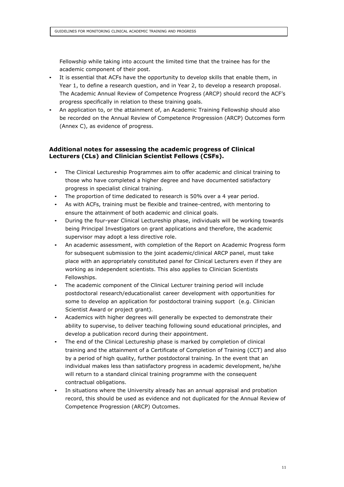Fellowship while taking into account the limited time that the trainee has for the academic component of their post.

- It is essential that ACFs have the opportunity to develop skills that enable them, in Year 1, to define a research question, and in Year 2, to develop a research proposal. The Academic Annual Review of Competence Progress (ARCP) should record the ACF's progress specifically in relation to these training goals.
- An application to, or the attainment of, an Academic Training Fellowship should also be recorded on the Annual Review of Competence Progression (ARCP) Outcomes form (Annex C), as evidence of progress.

## **Additional notes for assessing the academic progress of Clinical Lecturers (CLs) and Clinician Scientist Fellows (CSFs).**

- The Clinical Lectureship Programmes aim to offer academic and clinical training to those who have completed a higher degree and have documented satisfactory progress in specialist clinical training.
- The proportion of time dedicated to research is 50% over a 4 year period.
- As with ACFs, training must be flexible and trainee-centred, with mentoring to ensure the attainment of both academic and clinical goals.
- During the four-year Clinical Lectureship phase, individuals will be working towards being Principal Investigators on grant applications and therefore, the academic supervisor may adopt a less directive role.
- An academic assessment, with completion of the Report on Academic Progress form for subsequent submission to the joint academic/clinical ARCP panel, must take place with an appropriately constituted panel for Clinical Lecturers even if they are working as independent scientists. This also applies to Clinician Scientists Fellowships.
- The academic component of the Clinical Lecturer training period will include postdoctoral research/educationalist career development with opportunities for some to develop an application for postdoctoral training support (e.g. Clinician Scientist Award or project grant).
- Academics with higher degrees will generally be expected to demonstrate their ability to supervise, to deliver teaching following sound educational principles, and develop a publication record during their appointment.
- The end of the Clinical Lectureship phase is marked by completion of clinical training and the attainment of a Certificate of Completion of Training (CCT) and also by a period of high quality, further postdoctoral training. In the event that an individual makes less than satisfactory progress in academic development, he/she will return to a standard clinical training programme with the consequent contractual obligations.
- In situations where the University already has an annual appraisal and probation record, this should be used as evidence and not duplicated for the Annual Review of Competence Progression (ARCP) Outcomes.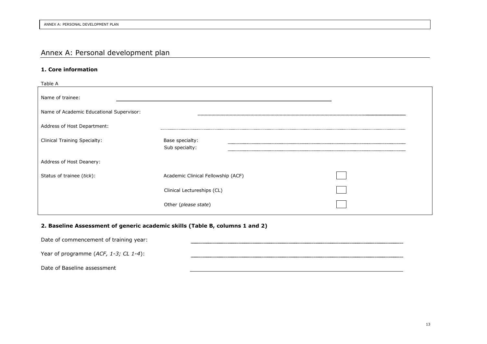# Annex A: Personal development plan

## **1. Core information**

| Table A                                  |                                    |  |
|------------------------------------------|------------------------------------|--|
| Name of trainee:                         |                                    |  |
| Name of Academic Educational Supervisor: |                                    |  |
| Address of Host Department:              |                                    |  |
| <b>Clinical Training Specialty:</b>      | Base specialty:<br>Sub specialty:  |  |
| Address of Host Deanery:                 |                                    |  |
| Status of trainee (tick):                | Academic Clinical Fellowship (ACF) |  |
|                                          | Clinical Lectureships (CL)         |  |
|                                          | Other (please state)               |  |

## **2. Baseline Assessment of generic academic skills (Table B, columns 1 and 2)**

| Date of commencement of training year:   |  |
|------------------------------------------|--|
| Year of programme $(ACF, 1-3; CL 1-4)$ : |  |
| Date of Baseline assessment              |  |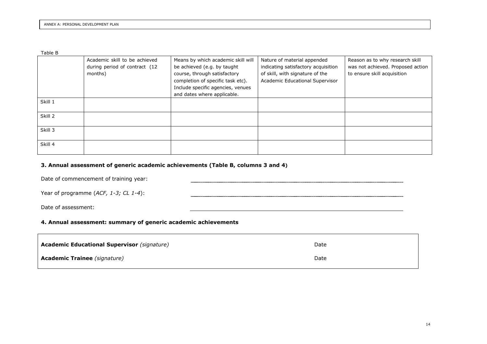Table B

|         | Academic skill to be achieved | Means by which academic skill will | Nature of material appended         | Reason as to why research skill   |
|---------|-------------------------------|------------------------------------|-------------------------------------|-----------------------------------|
|         | during period of contract (12 | be achieved (e.g. by taught        | indicating satisfactory acquisition | was not achieved. Proposed action |
|         | months)                       | course, through satisfactory       | of skill, with signature of the     | to ensure skill acquisition       |
|         |                               | completion of specific task etc).  | Academic Educational Supervisor     |                                   |
|         |                               | Include specific agencies, venues  |                                     |                                   |
|         |                               | and dates where applicable.        |                                     |                                   |
| Skill 1 |                               |                                    |                                     |                                   |
|         |                               |                                    |                                     |                                   |
| Skill 2 |                               |                                    |                                     |                                   |
|         |                               |                                    |                                     |                                   |
| Skill 3 |                               |                                    |                                     |                                   |
|         |                               |                                    |                                     |                                   |
| Skill 4 |                               |                                    |                                     |                                   |
|         |                               |                                    |                                     |                                   |

### **3. Annual assessment of generic academic achievements (Table B, columns 3 and 4)**

Date of commencement of training year:

Year of programme (*ACF, 1-3; CL 1-4*):

Date of assessment:

#### **4. Annual assessment: summary of generic academic achievements**

| <b>Academic Educational Supervisor (signature)</b> | Date |
|----------------------------------------------------|------|
| <b>Academic Trainee</b> (signature)                | Date |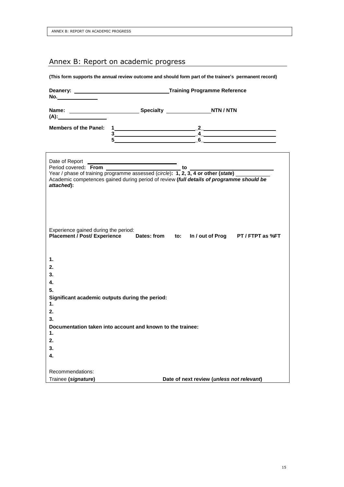# Annex B: Report on academic progress

**(This form supports the annual review outcome and should form part of the trainee's permanent record)**

| $(A)$ :                                                                                                                |  |  |                                           |  |  |  |  |  |  |
|------------------------------------------------------------------------------------------------------------------------|--|--|-------------------------------------------|--|--|--|--|--|--|
|                                                                                                                        |  |  |                                           |  |  |  |  |  |  |
| Members of the Panel: $1$<br>$3$<br>$5$                                                                                |  |  |                                           |  |  |  |  |  |  |
|                                                                                                                        |  |  |                                           |  |  |  |  |  |  |
|                                                                                                                        |  |  |                                           |  |  |  |  |  |  |
|                                                                                                                        |  |  |                                           |  |  |  |  |  |  |
| Academic competences gained during period of review (full details of programme should be                               |  |  |                                           |  |  |  |  |  |  |
| attached):                                                                                                             |  |  |                                           |  |  |  |  |  |  |
|                                                                                                                        |  |  |                                           |  |  |  |  |  |  |
|                                                                                                                        |  |  |                                           |  |  |  |  |  |  |
|                                                                                                                        |  |  |                                           |  |  |  |  |  |  |
|                                                                                                                        |  |  |                                           |  |  |  |  |  |  |
|                                                                                                                        |  |  |                                           |  |  |  |  |  |  |
| Experience gained during the period:<br>Placement / Post/ Experience Dates: from to: In / out of Prog PT / FTPT as %FT |  |  |                                           |  |  |  |  |  |  |
|                                                                                                                        |  |  |                                           |  |  |  |  |  |  |
|                                                                                                                        |  |  |                                           |  |  |  |  |  |  |
| 1.                                                                                                                     |  |  |                                           |  |  |  |  |  |  |
| 2.                                                                                                                     |  |  |                                           |  |  |  |  |  |  |
| 3.                                                                                                                     |  |  |                                           |  |  |  |  |  |  |
| 4.                                                                                                                     |  |  |                                           |  |  |  |  |  |  |
| 5.                                                                                                                     |  |  |                                           |  |  |  |  |  |  |
| Significant academic outputs during the period:                                                                        |  |  |                                           |  |  |  |  |  |  |
| $\mathbf{1}$ .                                                                                                         |  |  |                                           |  |  |  |  |  |  |
| 2.                                                                                                                     |  |  |                                           |  |  |  |  |  |  |
| 3.                                                                                                                     |  |  |                                           |  |  |  |  |  |  |
| Documentation taken into account and known to the trainee:                                                             |  |  |                                           |  |  |  |  |  |  |
| 1.                                                                                                                     |  |  |                                           |  |  |  |  |  |  |
| 2.                                                                                                                     |  |  |                                           |  |  |  |  |  |  |
| 3.                                                                                                                     |  |  |                                           |  |  |  |  |  |  |
| 4.                                                                                                                     |  |  |                                           |  |  |  |  |  |  |
| Recommendations:                                                                                                       |  |  |                                           |  |  |  |  |  |  |
| Trainee (signature)                                                                                                    |  |  | Date of next review (unless not relevant) |  |  |  |  |  |  |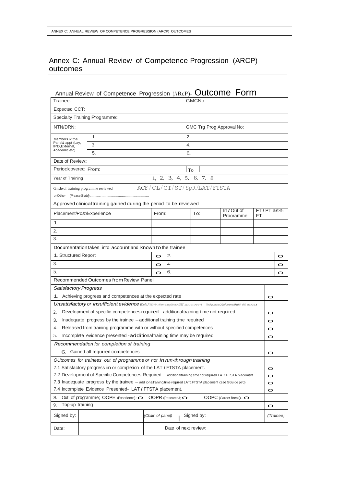# Annex C: Annual Review of Competence Progression (ARCP) outcomes

|                                     |    | Annual Review of Competence Progression (ARcP)- Outcome Form                                                                            |                            |                            |      |            |  |                                 |    |             |             |
|-------------------------------------|----|-----------------------------------------------------------------------------------------------------------------------------------------|----------------------------|----------------------------|------|------------|--|---------------------------------|----|-------------|-------------|
| Trainee:                            |    |                                                                                                                                         |                            |                            |      | GMCNo      |  |                                 |    |             |             |
| <b>Expected CCT:</b>                |    |                                                                                                                                         |                            |                            |      |            |  |                                 |    |             |             |
| Specialty Training Programme:       |    |                                                                                                                                         |                            |                            |      |            |  |                                 |    |             |             |
| NTN/DRN:                            |    |                                                                                                                                         |                            |                            |      |            |  | GMC Trg Prog Approval No:       |    |             |             |
| Members of the                      | 1. |                                                                                                                                         |                            |                            | 2.   |            |  |                                 |    |             |             |
| Panel& appt (Lay,<br>IPD, External, | 3. |                                                                                                                                         |                            |                            | 4.   |            |  |                                 |    |             |             |
| Academic etc)                       | 5. |                                                                                                                                         |                            |                            | 6.   |            |  |                                 |    |             |             |
| Date of Review:                     |    |                                                                                                                                         |                            |                            |      |            |  |                                 |    |             |             |
| Period covered: From:               |    |                                                                                                                                         |                            |                            | l To |            |  |                                 |    |             |             |
| Year of Training                    |    |                                                                                                                                         |                            | 1, 2, 3, 4, 5, 6, 7, 8     |      |            |  |                                 |    |             |             |
| Gnde of training programme reviewed |    |                                                                                                                                         | ACF/CL/CT/ST/SpR/LAT/FTSTA |                            |      |            |  |                                 |    |             |             |
|                                     |    | Approved clinical training gained during the period to be reviewed                                                                      |                            |                            |      |            |  |                                 |    |             |             |
| Placement/Post/Experience           |    |                                                                                                                                         | From:                      |                            |      | To:        |  | In / Out of<br>Prooramme        | FT | FT / PT as% |             |
| 1.                                  |    |                                                                                                                                         |                            |                            |      |            |  |                                 |    |             |             |
| 2.                                  |    |                                                                                                                                         |                            |                            |      |            |  |                                 |    |             |             |
| 3.                                  |    |                                                                                                                                         |                            |                            |      |            |  |                                 |    |             |             |
|                                     |    | Documentation taken into account and known to the trainee                                                                               |                            |                            |      |            |  |                                 |    |             |             |
| 1. Structured Report                |    |                                                                                                                                         | O                          | 2.                         |      |            |  |                                 |    |             | $\mathbf o$ |
| 3.                                  |    |                                                                                                                                         | $\circ$                    | 4.                         |      |            |  |                                 |    |             | O           |
| 5.                                  |    |                                                                                                                                         | $\circ$                    | 6.                         |      |            |  |                                 |    |             | O           |
|                                     |    | Recommended Outcomes from Review Panel                                                                                                  |                            |                            |      |            |  |                                 |    |             |             |
| Satisfactory Progress               |    |                                                                                                                                         |                            |                            |      |            |  |                                 |    |             |             |
| 1.                                  |    | Achieving progress and competences at the expected rate                                                                                 |                            |                            |      |            |  |                                 |    | $\bullet$   |             |
|                                     |    | <b>Unsatisfactory or insufficient evidence</b> tDelsJtPI0V1<100 on suppJoman01)' snoetove-t. ThtJpone/wJ/1bfootneijIwith th0 trillJU&.) |                            |                            |      |            |  |                                 |    |             |             |
| 2.                                  |    | Development of specific competenoes required - additional training time not required                                                    |                            |                            |      |            |  |                                 |    | $\mathbf O$ |             |
| 3.                                  |    | Inadequate progress by the trainee - additional training time required                                                                  |                            |                            |      |            |  |                                 |    | O           |             |
| 4.                                  |    | Released from training programme with or without specified competences                                                                  |                            |                            |      |            |  |                                 |    | O           |             |
| 5.                                  |    | Incomplete evidence presented -additionaltraining time may be required                                                                  |                            |                            |      |            |  |                                 |    | O           |             |
|                                     |    | Recommendation for completion of training                                                                                               |                            |                            |      |            |  |                                 |    |             |             |
| 6.                                  |    | Gained all required competences                                                                                                         |                            |                            |      |            |  |                                 |    | O           |             |
|                                     |    | OUtcomes for trainees out of programme or not in run-through training                                                                   |                            |                            |      |            |  |                                 |    |             |             |
|                                     |    | 7.1 Satisfactory progress in or completion of the LAT / FTSTA placement.                                                                |                            |                            |      |            |  |                                 |    | O           |             |
|                                     |    | 7.2 Development of Specific Competences Required - additionaltraining time not required LAT1FTSTA placement                             |                            |                            |      |            |  |                                 |    | O           |             |
|                                     |    | 7.3 Inadequate progress by the trainee - add ionaltraning time required LAT1FTSTA placement (see GGuide p70)                            |                            |                            |      |            |  |                                 |    | O           |             |
|                                     |    | 7.4 Incomplete Evidence Presented- LAT / FTSTA placement.                                                                               |                            |                            |      |            |  |                                 |    | O           |             |
| 8.                                  |    | Out of programme; OOPE (Experience); O                                                                                                  |                            | OOPR (ResearchJ; $\bullet$ |      |            |  | OOPC (Career Break) - $\bullet$ |    |             |             |
| Top-up training<br>9.               |    |                                                                                                                                         |                            |                            |      |            |  |                                 |    | O           |             |
| Signed by:                          |    |                                                                                                                                         | (Chair of panel)           |                            |      | Signed by: |  |                                 |    |             | (Trainee)   |
| Date of next review:<br>Date:       |    |                                                                                                                                         |                            |                            |      |            |  |                                 |    |             |             |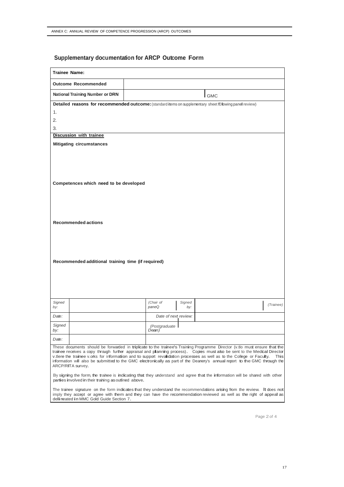## **Supplementary documentation for ARCP Outcome Form**

| <b>Trainee Name:</b>                                       |                                                                                                                                                                                                                                                                                                                                                                                                                                                                                                                         |  |  |  |  |  |  |  |
|------------------------------------------------------------|-------------------------------------------------------------------------------------------------------------------------------------------------------------------------------------------------------------------------------------------------------------------------------------------------------------------------------------------------------------------------------------------------------------------------------------------------------------------------------------------------------------------------|--|--|--|--|--|--|--|
| <b>Outcome Recommended</b>                                 |                                                                                                                                                                                                                                                                                                                                                                                                                                                                                                                         |  |  |  |  |  |  |  |
| National Training Number or DRN                            | <b>GMC</b>                                                                                                                                                                                                                                                                                                                                                                                                                                                                                                              |  |  |  |  |  |  |  |
|                                                            | Detailed reasons for recommended outcome: (standard items on supplementary sheet fOllowing panel review)                                                                                                                                                                                                                                                                                                                                                                                                                |  |  |  |  |  |  |  |
| 1.                                                         |                                                                                                                                                                                                                                                                                                                                                                                                                                                                                                                         |  |  |  |  |  |  |  |
| 2.                                                         |                                                                                                                                                                                                                                                                                                                                                                                                                                                                                                                         |  |  |  |  |  |  |  |
| 3.                                                         |                                                                                                                                                                                                                                                                                                                                                                                                                                                                                                                         |  |  |  |  |  |  |  |
| Discussion with trainee<br><b>Mitigating circumstances</b> |                                                                                                                                                                                                                                                                                                                                                                                                                                                                                                                         |  |  |  |  |  |  |  |
| Competences which need to be developed                     |                                                                                                                                                                                                                                                                                                                                                                                                                                                                                                                         |  |  |  |  |  |  |  |
| <b>Recommended actions</b>                                 |                                                                                                                                                                                                                                                                                                                                                                                                                                                                                                                         |  |  |  |  |  |  |  |
| Recommended additional training time (if required)         |                                                                                                                                                                                                                                                                                                                                                                                                                                                                                                                         |  |  |  |  |  |  |  |
| Signed<br>by:                                              | (Chair of<br>Signed<br>(Trainee)<br>paneQ<br>by:                                                                                                                                                                                                                                                                                                                                                                                                                                                                        |  |  |  |  |  |  |  |
| Date:                                                      | Date of next review:                                                                                                                                                                                                                                                                                                                                                                                                                                                                                                    |  |  |  |  |  |  |  |
| Signed<br>by:                                              | (Postgraduate I<br>Dean)                                                                                                                                                                                                                                                                                                                                                                                                                                                                                                |  |  |  |  |  |  |  |
| Date:                                                      |                                                                                                                                                                                                                                                                                                                                                                                                                                                                                                                         |  |  |  |  |  |  |  |
| ARCP/RITA survey.                                          | These documents should be forwarded in triplicate to the trainee's Training Programme Director (v.tlo must ensure that the<br>trainee receives a copy through further appraisal and planning process). Copies must also be sent to the Medical Director<br>v.tlere the trainee v.orks for information and to support revalidation processes as well as to the College or Faculty.<br>This<br>information will also be submitted to the GMC electronically as part of the Deanery's annual report to the GMC through the |  |  |  |  |  |  |  |
| parties involved in their trahing as outlined above.       | By signing the form, the trainee is indicating that they understand and agree that the information will be shared with other                                                                                                                                                                                                                                                                                                                                                                                            |  |  |  |  |  |  |  |
| deli neated in MMC Gold Guide Section 7.                   | The trainee signature on the form indicates that they understand the recommendations arising from the review. It does not<br>imply they accept or agree with them and they can have the recommendation reviewed as well as the right of appeal as                                                                                                                                                                                                                                                                       |  |  |  |  |  |  |  |

Page 2 of 4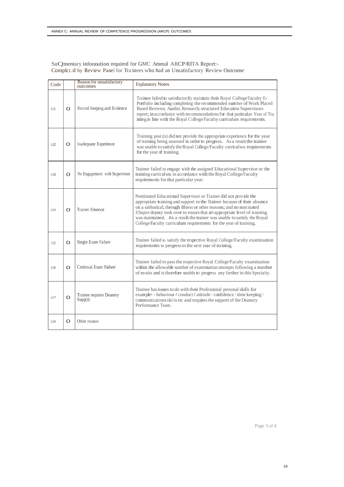SuQmentary infonnation required for GMC Ammal ARCP/RITA Report:- Complct..:d by Review Panel for Tra inees who had an Unsatisfactory Review Outcome

| Code           |   | Reason for unsatisfactory<br>outcomes   | <b>Explanatory Notes</b>                                                                                                                                                                                                                                                                                                                                                                                                                      |
|----------------|---|-----------------------------------------|-----------------------------------------------------------------------------------------------------------------------------------------------------------------------------------------------------------------------------------------------------------------------------------------------------------------------------------------------------------------------------------------------------------------------------------------------|
| U1             | O | Record Keeping and Evidence             | Trainee failed to satisfactorily maintain their Royal College/Faculty E-<br>Portfolio including completing the recommended number of Work Placed<br>Based Reviews, Audits; Research; structured Education Supervisors<br>report; in accordance with recommendations for that particular Year of Tra<br>ining in line with the Royal College/Faculty curriculum requirements.                                                                  |
| U2             | O | Inadequate Experience                   | Training post (s) did not provide the appropriate experience for the year<br>of training being assessed in order to progress. As a result the trainee<br>was unable to satisfy the Royal College/Faculty curriculwu requirements<br>for the year of training.                                                                                                                                                                                 |
| U3             | O | No Engagement with Supervisor           | Trainee failed to engage with the assigned Educational Supervisor or the<br>training curriculwu in accordance with the Royal College/Faculty<br>requirements for that particular year.                                                                                                                                                                                                                                                        |
| U <sub>4</sub> | O | <b>Trainer Absence</b>                  | Nominated Educational Supervisor or Trainer did not provide the<br>appropriate training and support to the Trainee because of their absence<br>on a sabbatical; through illness or other reasons; and no nominated<br>ESupvr deputy took over to ensure that an appropriate level of training<br>was maintained. As a result the trainee was unable to satisfy the Royal<br>College/Faculty curriculum requirements for the year of training. |
| us             | O | Single Exam Failure                     | Trainee failed to satisfy the respective Royal College/Faculty examination<br>requirements to progress to the next year of training.                                                                                                                                                                                                                                                                                                          |
| U <sub>6</sub> | O | Continual Exam Failure                  | Trainee failed to pass the respective Royal College/Faculty examination<br>within the allowable number of examination attempts following a number<br>of re-sits and is therefore unable to progress any further in this Specialty.                                                                                                                                                                                                            |
| U?             | O | Trainee requires Deanery<br>$Supp()$ (t | Trainee has issues to do with their Professional personal skills for<br>example - behaviour / conduct / attitude / confidence / time keeping /<br>communications skills etc and requires the support of the Deanery<br>Performance Team.                                                                                                                                                                                                      |
| U8             | O | Other reason                            |                                                                                                                                                                                                                                                                                                                                                                                                                                               |

Page 3 of 4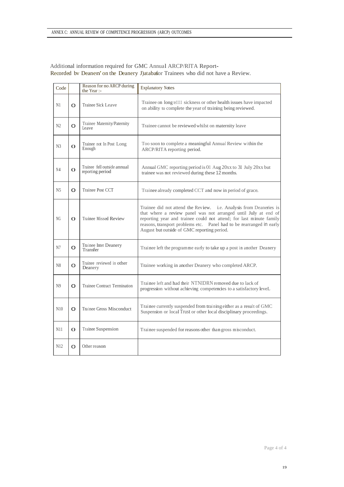| Code           |          | Reason for no ARCP during<br>the Year:-         | <b>Explanatory Notes</b>                                                                                                                                                                                                                                                                                                               |
|----------------|----------|-------------------------------------------------|----------------------------------------------------------------------------------------------------------------------------------------------------------------------------------------------------------------------------------------------------------------------------------------------------------------------------------------|
| N1             | O        | Trainee Sick Leave                              | Trainee on long tellll sickness or other health issues have impacted<br>on ability to complete the year of training being reviewed.                                                                                                                                                                                                    |
| N2             | O        | Trainee Maternity/Paternity<br>Leave            | Trainee cannot be reviewed whilst on maternity leave                                                                                                                                                                                                                                                                                   |
| N <sub>3</sub> | $\Omega$ | Trainee not In Post Long<br>Enough              | Too soon to complete a meaningful Annual Review within the<br>ARCP/RITA reporting period.                                                                                                                                                                                                                                              |
| N <sub>4</sub> | $\Omega$ | Trainee fell outside annual<br>reporting period | Annual GMC reporting period is 01 Aug 20xx to 31 July 20xx but<br>trainee was not reviewed during these 12 months.                                                                                                                                                                                                                     |
| N <sub>5</sub> | O        | Trainee Post CCT                                | Trainee already completed CCT and now in period of grace.                                                                                                                                                                                                                                                                              |
| NG             | $\Omega$ | Trainee Missed Review                           | Trainee did not attend the Review. i.e. Analysis from Deaneries is<br>that where a review panel was not arranged until July at end of<br>reporting year and trainee could not attend; for last minute family<br>reasons, transport problems etc.<br>Panel had to be rearranged in early<br>August but outside of GMC reporting period. |
| N7             | O        | Trainee Inter Deanery<br>Transfer               | Trainee left the programme early to take up a post in another Deanery                                                                                                                                                                                                                                                                  |
| N8             | O        | Trainee reviewed in other<br>Deanery            | Trainee working in another Deanery who completed ARCP.                                                                                                                                                                                                                                                                                 |
| N <sub>9</sub> | O        | <b>Trainee Contract Termination</b>             | Trainee left and had their NTNIDRN removed due to lack of<br>progression without achieving competencies to a satisfactory leveL                                                                                                                                                                                                        |
| N10            | O        | Trainee Gross Misconduct                        | Trainee currently suspended from training either as a result of GMC<br>Suspension or local Trust or other local disciplinary proceedings.                                                                                                                                                                                              |
| N11            | O        | Trainee Suspension                              | Trainee suspended for reasons other than gross misconduct.                                                                                                                                                                                                                                                                             |
| N12            | O        | Other reason                                    |                                                                                                                                                                                                                                                                                                                                        |

## Additional information required for GMC Annual ARCP/RlTA Report-Recorded bv Deanen'on the Deanery J)atabafsor Trainees who did not have a Review.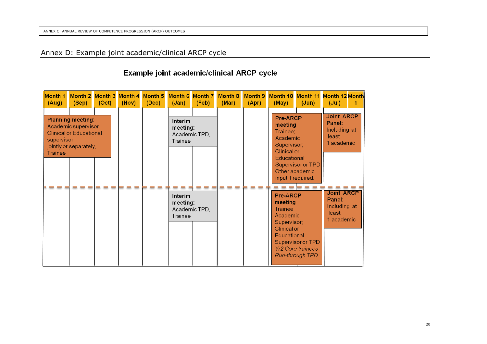# Annex D: Example joint academic/clinical ARCP cycle

# Example joint academic/clinical ARCP cycle

| Month 1<br>(Aug)      | Month 2 Month 3 Month 4<br>(Sep)                                                                             | (Oct) | (Nov) | Month 5<br>(Dec) | <b>Month 6</b><br>(Jan)                                | <b>Month 7</b><br>(Feb) | <b>Month 8</b><br>(Mar) | Month 9<br>(Apr) | Month 10 Month 11 Month 12 Month<br>(May)                                                                             | (Jun)                                                                   | (Jul)                                                              |  |
|-----------------------|--------------------------------------------------------------------------------------------------------------|-------|-------|------------------|--------------------------------------------------------|-------------------------|-------------------------|------------------|-----------------------------------------------------------------------------------------------------------------------|-------------------------------------------------------------------------|--------------------------------------------------------------------|--|
| supervisor<br>Trainee | <b>Planning meeting:</b><br>Academic supervisor,<br><b>Clinical or Educational</b><br>jointly or separately, |       |       |                  | Interim<br>meeting:<br>Academic TPD,<br>Trainee        |                         |                         |                  | Pre-ARCP<br>meeting<br>Trainee:<br>Academic<br>Supervisor;<br><b>Clinical or</b><br>Educational<br>input if required. | Supervisor or TPD<br>Other academic                                     | <b>Joint ARCP</b><br>Panel:<br>Including at<br>least<br>1 academic |  |
|                       |                                                                                                              |       |       |                  | <b>Interim</b><br>meeting:<br>Academic TPD,<br>Trainee |                         |                         |                  | Pre-ARCP<br>meeting<br>Trainee;<br>Academic<br>Supervisor:<br><b>Clinical or</b><br>Educational                       | Supervisor or TPD<br><b>Yr2 Core trainees</b><br><b>Run-through TPD</b> | <b>Joint ARCP</b><br>Panel:<br>Including at<br>least<br>1 academic |  |